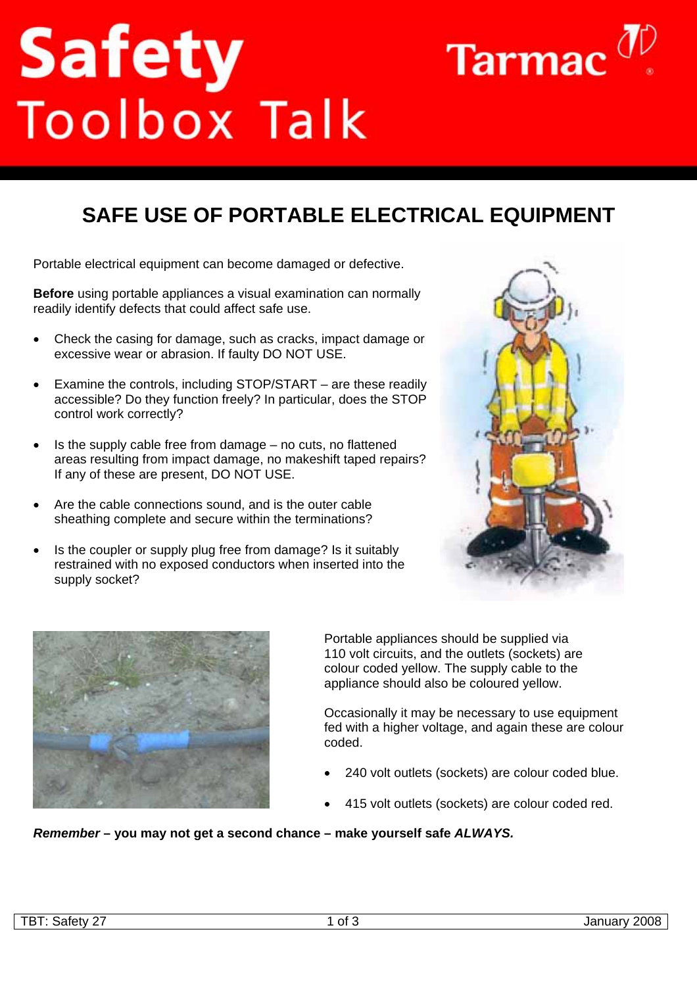## **Safety**<br>Toolbox Talk



Portable electrical equipment can become damaged or defective.

**Before** using portable appliances a visual examination can normally readily identify defects that could affect safe use.

- Check the casing for damage, such as cracks, impact damage or excessive wear or abrasion. If faulty DO NOT USE.
- Examine the controls, including STOP/START are these readily accessible? Do they function freely? In particular, does the STOP control work correctly?
- Is the supply cable free from damage no cuts, no flattened areas resulting from impact damage, no makeshift taped repairs? If any of these are present, DO NOT USE.
- Are the cable connections sound, and is the outer cable sheathing complete and secure within the terminations?
- Is the coupler or supply plug free from damage? Is it suitably restrained with no exposed conductors when inserted into the supply socket?



Tarmac $^0$ 



Portable appliances should be supplied via 110 volt circuits, and the outlets (sockets) are colour coded yellow. The supply cable to the appliance should also be coloured yellow.

Occasionally it may be necessary to use equipment fed with a higher voltage, and again these are colour coded.

- 240 volt outlets (sockets) are colour coded blue.
- 415 volt outlets (sockets) are colour coded red.

## *Remember* **– you may not get a second chance – make yourself safe** *ALWAYS.*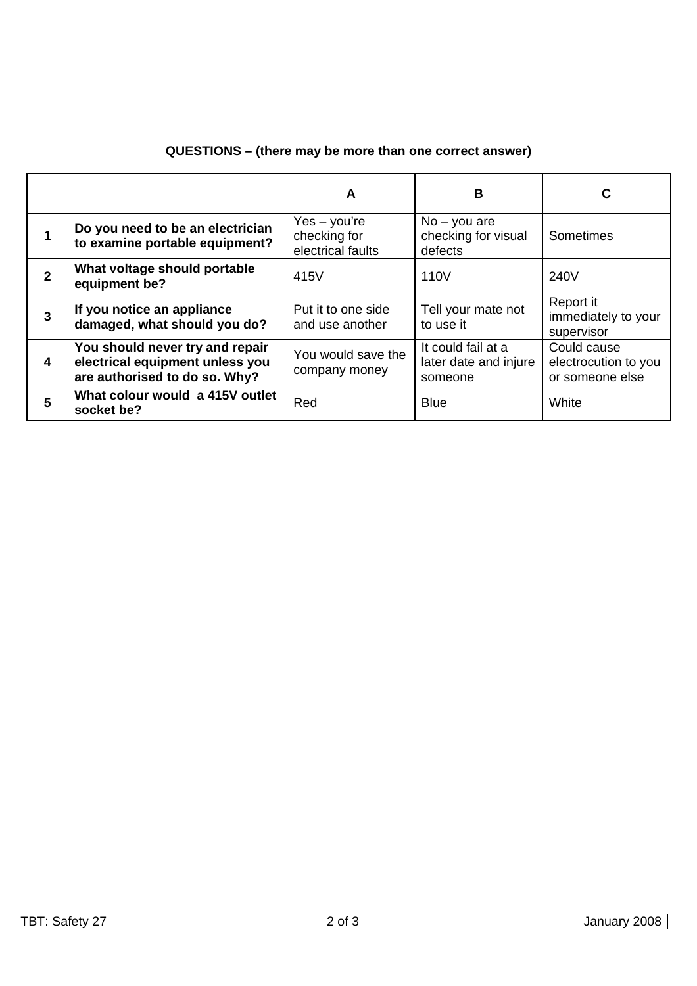## **QUESTIONS – (there may be more than one correct answer)**

|              |                                                                                                     | A                                                   | в                                                      | С                                                      |
|--------------|-----------------------------------------------------------------------------------------------------|-----------------------------------------------------|--------------------------------------------------------|--------------------------------------------------------|
|              | Do you need to be an electrician<br>to examine portable equipment?                                  | $Yes - you're$<br>checking for<br>electrical faults | $No - you are$<br>checking for visual<br>defects       | Sometimes                                              |
| $\mathbf{2}$ | What voltage should portable<br>equipment be?                                                       | 415V                                                | 110V                                                   | 240V                                                   |
| 3            | If you notice an appliance<br>damaged, what should you do?                                          | Put it to one side<br>and use another               | Tell your mate not<br>to use it                        | Report it<br>immediately to your<br>supervisor         |
| 4            | You should never try and repair<br>electrical equipment unless you<br>are authorised to do so. Why? | You would save the<br>company money                 | It could fail at a<br>later date and injure<br>someone | Could cause<br>electrocution to you<br>or someone else |
| 5            | What colour would a 415V outlet<br>socket be?                                                       | Red                                                 | <b>Blue</b>                                            | White                                                  |